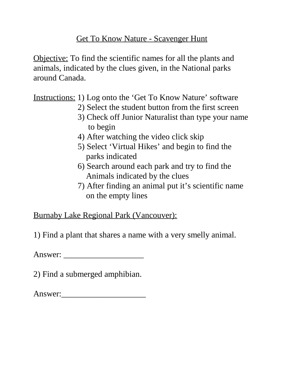## Get To Know Nature - Scavenger Hunt

Objective: To find the scientific names for all the plants and animals, indicated by the clues given, in the National parks around Canada.

Instructions: 1) Log onto the 'Get To Know Nature' software

- 2) Select the student button from the first screen
- 3) Check off Junior Naturalist than type your name to begin
- 4) After watching the video click skip
- 5) Select 'Virtual Hikes' and begin to find the parks indicated
- 6) Search around each park and try to find the Animals indicated by the clues
- 7) After finding an animal put it's scientific name on the empty lines

Burnaby Lake Regional Park (Vancouver):

1) Find a plant that shares a name with a very smelly animal.

Answer: \_\_\_\_\_\_\_\_\_\_\_\_\_\_\_\_\_\_\_

2) Find a submerged amphibian.

Answer:\_\_\_\_\_\_\_\_\_\_\_\_\_\_\_\_\_\_\_\_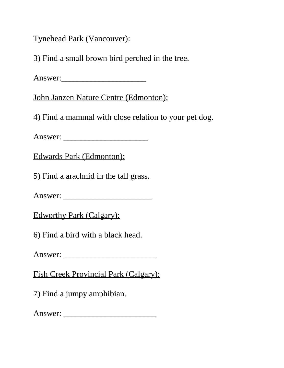Tynehead Park (Vancouver):

3) Find a small brown bird perched in the tree.

Answer:\_\_\_\_\_\_\_\_\_\_\_\_\_\_\_\_\_\_\_\_

John Janzen Nature Centre (Edmonton):

4) Find a mammal with close relation to your pet dog.

Answer: \_\_\_\_\_\_\_\_\_\_\_\_\_\_\_\_\_\_\_\_

Edwards Park (Edmonton):

5) Find a arachnid in the tall grass.

Answer: \_\_\_\_\_\_\_\_\_\_\_\_\_\_\_\_\_\_\_\_\_

Edworthy Park (Calgary):

6) Find a bird with a black head.

Answer: \_\_\_\_\_\_\_\_\_\_\_\_\_\_\_\_\_\_\_\_\_\_

Fish Creek Provincial Park (Calgary):

7) Find a jumpy amphibian.

Answer: \_\_\_\_\_\_\_\_\_\_\_\_\_\_\_\_\_\_\_\_\_\_